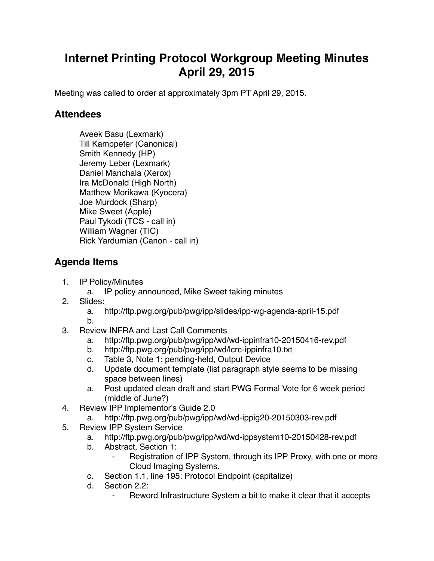## **Internet Printing Protocol Workgroup Meeting Minutes April 29, 2015**

Meeting was called to order at approximately 3pm PT April 29, 2015.

## **Attendees**

Aveek Basu (Lexmark) Till Kamppeter (Canonical) Smith Kennedy (HP) Jeremy Leber (Lexmark) Daniel Manchala (Xerox) Ira McDonald (High North) Matthew Morikawa (Kyocera) Joe Murdock (Sharp) Mike Sweet (Apple) Paul Tykodi (TCS - call in) William Wagner (TIC) Rick Yardumian (Canon - call in)

## **Agenda Items**

- 1. IP Policy/Minutes
	- a. IP policy announced, Mike Sweet taking minutes
- 2. Slides:
	- a. http://ftp.pwg.org/pub/pwg/ipp/slides/ipp-wg-agenda-april-15.pdf
	- b.
- 3. Review INFRA and Last Call Comments
	- a. http://ftp.pwg.org/pub/pwg/ipp/wd/wd-ippinfra10-20150416-rev.pdf
	- b. http://ftp.pwg.org/pub/pwg/ipp/wd/lcrc-ippinfra10.txt
	- c. Table 3, Note 1: pending-held, Output Device
	- d. Update document template (list paragraph style seems to be missing space between lines)
	- a. Post updated clean draft and start PWG Formal Vote for 6 week period (middle of June?)
- 4. Review IPP Implementor's Guide 2.0
	- a. http://ftp.pwg.org/pub/pwg/ipp/wd/wd-ippig20-20150303-rev.pdf
- 5. Review IPP System Service
	- a. http://ftp.pwg.org/pub/pwg/ipp/wd/wd-ippsystem10-20150428-rev.pdf
	- b. Abstract, Section 1:
		- Registration of IPP System, through its IPP Proxy, with one or more Cloud Imaging Systems.
	- c. Section 1.1, line 195: Protocol Endpoint (capitalize)
	- d. Section 2.2:
		- ⁃ Reword Infrastructure System a bit to make it clear that it accepts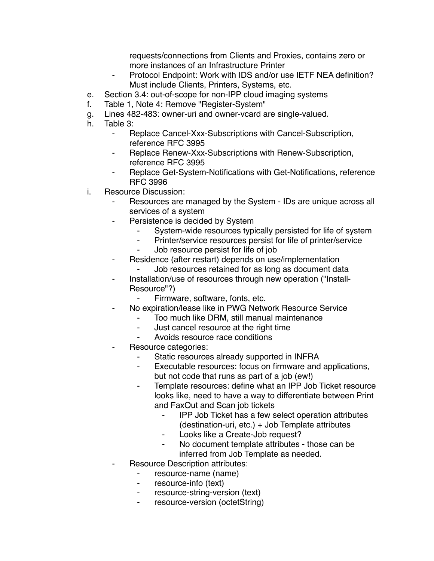requests/connections from Clients and Proxies, contains zero or more instances of an Infrastructure Printer

- Protocol Endpoint: Work with IDS and/or use IETF NEA definition? Must include Clients, Printers, Systems, etc.
- e. Section 3.4: out-of-scope for non-IPP cloud imaging systems
- f. Table 1, Note 4: Remove "Register-System"
- g. Lines 482-483: owner-uri and owner-vcard are single-valued.
- h. Table 3:
	- ⁃ Replace Cancel-Xxx-Subscriptions with Cancel-Subscription, reference RFC 3995
	- Replace Renew-Xxx-Subscriptions with Renew-Subscription, reference RFC 3995
	- Replace Get-System-Notifications with Get-Notifications, reference RFC 3996
- i. Resource Discussion:
	- Resources are managed by the System IDs are unique across all services of a system
	- ⁃ Persistence is decided by System
		- System-wide resources typically persisted for life of system
		- ⁃ Printer/service resources persist for life of printer/service
		- Job resource persist for life of job
	- ⁃ Residence (after restart) depends on use/implementation
		- Job resources retained for as long as document data Installation/use of resources through new operation ("Install-
		- Resource"?)
			- Firmware, software, fonts, etc.
	- No expiration/lease like in PWG Network Resource Service
		- Too much like DRM, still manual maintenance
		- Just cancel resource at the right time
		- Avoids resource race conditions
	- Resource categories:
		- ⁃ Static resources already supported in INFRA
		- Executable resources: focus on firmware and applications, but not code that runs as part of a job (ew!)
		- ⁃ Template resources: define what an IPP Job Ticket resource looks like, need to have a way to differentiate between Print and FaxOut and Scan job tickets
			- ⁃ IPP Job Ticket has a few select operation attributes (destination-uri, etc.) + Job Template attributes
			- ⁃ Looks like a Create-Job request?
			- ⁃ No document template attributes those can be inferred from Job Template as needed.
	- Resource Description attributes:
		- ⁃ resource-name (name)
		- ⁃ resource-info (text)
		- resource-string-version (text)
		- ⁃ resource-version (octetString)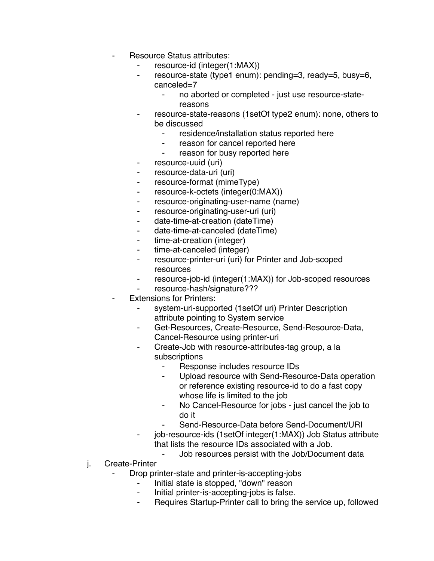- Resource Status attributes:
	- resource-id (integer(1:MAX))
	- resource-state (type1 enum): pending=3, ready=5, busy=6, canceled=7
		- no aborted or completed just use resource-statereasons
	- resource-state-reasons (1setOf type2 enum): none, others to be discussed
		- residence/installation status reported here
		- reason for cancel reported here
		- ⁃ reason for busy reported here
	- ⁃ resource-uuid (uri)
	- ⁃ resource-data-uri (uri)
	- ⁃ resource-format (mimeType)
	- ⁃ resource-k-octets (integer(0:MAX))
	- resource-originating-user-name (name)
	- resource-originating-user-uri (uri)
	- date-time-at-creation (dateTime)
	- date-time-at-canceled (dateTime)
	- ⁃ time-at-creation (integer)
	- ⁃ time-at-canceled (integer)
	- ⁃ resource-printer-uri (uri) for Printer and Job-scoped resources
	- resource-job-id (integer(1:MAX)) for Job-scoped resources
	- resource-hash/signature???
- **Extensions for Printers:** 
	- system-uri-supported (1setOf uri) Printer Description attribute pointing to System service
	- Get-Resources, Create-Resource, Send-Resource-Data, Cancel-Resource using printer-uri
	- Create-Job with resource-attributes-tag group, a la subscriptions
		- Response includes resource IDs
		- ⁃ Upload resource with Send-Resource-Data operation or reference existing resource-id to do a fast copy whose life is limited to the job
		- ⁃ No Cancel-Resource for jobs just cancel the job to do it
		- Send-Resource-Data before Send-Document/URI
	- job-resource-ids (1setOf integer(1:MAX)) Job Status attribute that lists the resource IDs associated with a Job.
		- Job resources persist with the Job/Document data
- j. Create-Printer
	- Drop printer-state and printer-is-accepting-jobs
		- ⁃ Initial state is stopped, "down" reason
		- ⁃ Initial printer-is-accepting-jobs is false.
		- ⁃ Requires Startup-Printer call to bring the service up, followed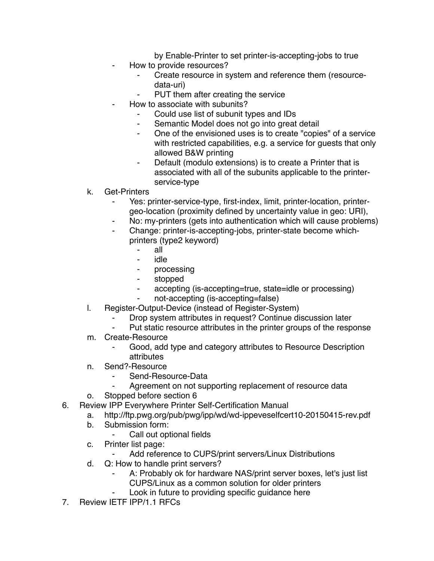by Enable-Printer to set printer-is-accepting-jobs to true

- How to provide resources?
	- ⁃ Create resource in system and reference them (resourcedata-uri)
	- PUT them after creating the service
- How to associate with subunits?
	- ⁃ Could use list of subunit types and IDs
	- ⁃ Semantic Model does not go into great detail
	- One of the envisioned uses is to create "copies" of a service with restricted capabilities, e.g. a service for guests that only allowed B&W printing
	- ⁃ Default (modulo extensions) is to create a Printer that is associated with all of the subunits applicable to the printerservice-type
- k. Get-Printers
	- Yes: printer-service-type, first-index, limit, printer-location, printergeo-location (proximity defined by uncertainty value in geo: URI),
	- No: my-printers (gets into authentication which will cause problems)
	- Change: printer-is-accepting-jobs, printer-state become whichprinters (type2 keyword)
		- ⁃ all
		- ⁃ idle
		- processing
		- ⁃ stopped
		- accepting (is-accepting=true, state=idle or processing)
		- not-accepting (is-accepting=false)
- l. Register-Output-Device (instead of Register-System)
	- Drop system attributes in request? Continue discussion later
	- Put static resource attributes in the printer groups of the response
- m. Create-Resource
	- Good, add type and category attributes to Resource Description attributes
- n. Send?-Resource
	- ⁃ Send-Resource-Data
	- Agreement on not supporting replacement of resource data
- o. Stopped before section 6
- 6. Review IPP Everywhere Printer Self-Certification Manual
	- a. http://ftp.pwg.org/pub/pwg/ipp/wd/wd-ippeveselfcert10-20150415-rev.pdf
	- b. Submission form:
		- Call out optional fields
	- c. Printer list page:
		- Add reference to CUPS/print servers/Linux Distributions
	- d. Q: How to handle print servers?
		- A: Probably ok for hardware NAS/print server boxes, let's just list CUPS/Linux as a common solution for older printers
			- Look in future to providing specific guidance here
- 7. Review IETF IPP/1.1 RFCs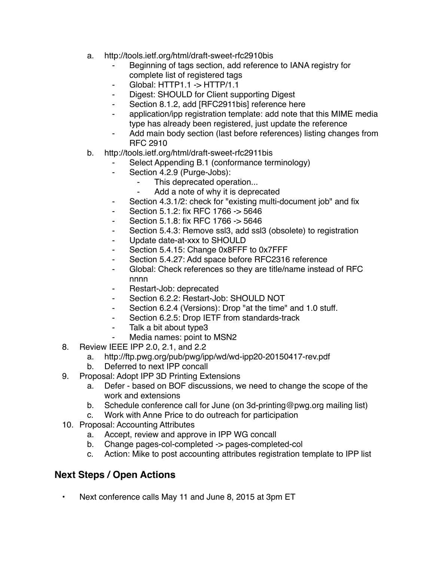- a. http://tools.ietf.org/html/draft-sweet-rfc2910bis
	- Beginning of tags section, add reference to IANA registry for complete list of registered tags
	- ⁃ Global: HTTP1.1 -> HTTP/1.1
	- ⁃ Digest: SHOULD for Client supporting Digest
	- Section 8.1.2, add [RFC2911bis] reference here
	- application/ipp registration template: add note that this MIME media type has already been registered, just update the reference
	- Add main body section (last before references) listing changes from RFC 2910
- b. http://tools.ietf.org/html/draft-sweet-rfc2911bis
	- Select Appending B.1 (conformance terminology)
	- ⁃ Section 4.2.9 (Purge-Jobs):
		- This deprecated operation...
		- Add a note of why it is deprecated
	- Section 4.3.1/2: check for "existing multi-document job" and fix
	- Section 5.1.2: fix RFC 1766 -> 5646
	- Section 5.1.8: fix RFC 1766 -> 5646
	- Section 5.4.3: Remove ssl3, add ssl3 (obsolete) to registration
	- ⁃ Update date-at-xxx to SHOULD
	- Section 5.4.15: Change 0x8FFF to 0x7FFF
	- ⁃ Section 5.4.27: Add space before RFC2316 reference
	- Global: Check references so they are title/name instead of RFC nnnn
	- ⁃ Restart-Job: deprecated
	- Section 6.2.2: Restart-Job: SHOULD NOT
	- ⁃ Section 6.2.4 (Versions): Drop "at the time" and 1.0 stuff.
	- ⁃ Section 6.2.5: Drop IETF from standards-track
	- Talk a bit about type3
	- Media names: point to MSN2
- 8. Review IEEE IPP 2.0, 2.1, and 2.2
	- a. http://ftp.pwg.org/pub/pwg/ipp/wd/wd-ipp20-20150417-rev.pdf
	- b. Deferred to next IPP concall
- 9. Proposal: Adopt IPP 3D Printing Extensions
	- a. Defer based on BOF discussions, we need to change the scope of the work and extensions
	- b. Schedule conference call for June (on 3d-printing@pwg.org mailing list)
	- c. Work with Anne Price to do outreach for participation
- 10. Proposal: Accounting Attributes
	- a. Accept, review and approve in IPP WG concall
	- b. Change pages-col-completed -> pages-completed-col
	- c. Action: Mike to post accounting attributes registration template to IPP list

## **Next Steps / Open Actions**

• Next conference calls May 11 and June 8, 2015 at 3pm ET